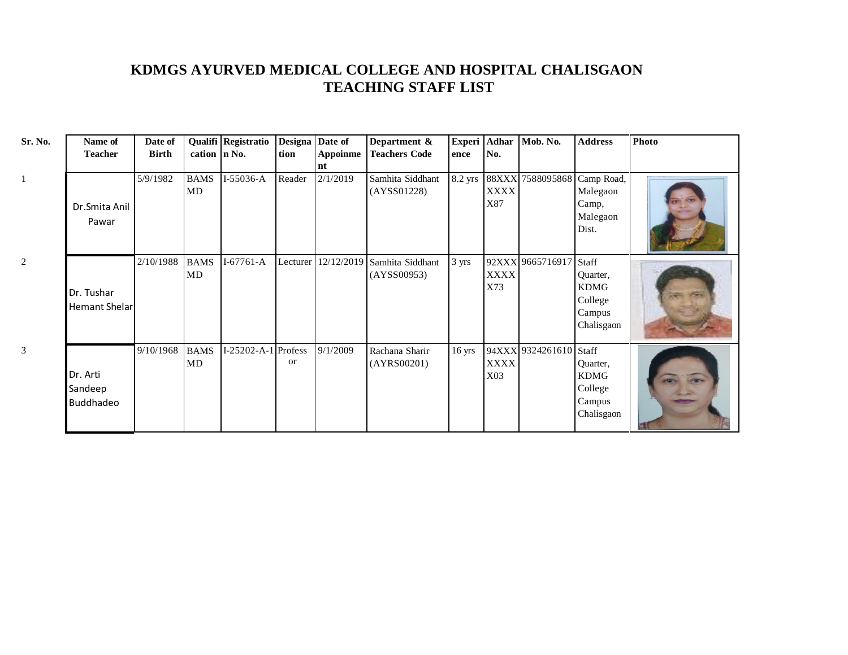## **KDMGS AYURVED MEDICAL COLLEGE AND HOSPITAL CHALISGAON TEACHING STAFF LIST**

| Sr. No.        | Name of                          | Date of      |                   | Qualifi Registratio | Designa Date of |                       | Department &                                        | Experi Adhar     |                    | Mob. No.               | <b>Address</b>                                                      | <b>Photo</b> |
|----------------|----------------------------------|--------------|-------------------|---------------------|-----------------|-----------------------|-----------------------------------------------------|------------------|--------------------|------------------------|---------------------------------------------------------------------|--------------|
|                | <b>Teacher</b>                   | <b>Birth</b> | cation $\ln$ No.  |                     | tion            | <b>Appoinme</b><br>nt | <b>Teachers Code</b>                                | ence             | No.                |                        |                                                                     |              |
|                | Dr.Smita Anil<br>Pawar           | 5/9/1982     | <b>BAMS</b><br>MD | I-55036-A           | Reader          | 2/1/2019              | Samhita Siddhant<br>(AYSS01228)                     | 8.2 yrs          | <b>XXXX</b><br>X87 | 88XXX 7588095868       | Camp Road,<br>Malegaon<br>Camp,<br>Malegaon<br>Dist.                |              |
| $\overline{c}$ | Dr. Tushar<br>Hemant Shelar      | 2/10/1988    | <b>BAMS</b><br>MD | $I-67761-A$         |                 |                       | Lecturer 12/12/2019 Samhita Siddhant<br>(AYSS00953) | 3 yrs            | <b>XXXX</b><br>X73 | 92XXX 9665716917       | Staff<br>Quarter,<br><b>KDMG</b><br>College<br>Campus<br>Chalisgaon |              |
| 3              | Dr. Arti<br>Sandeep<br>Buddhadeo | 9/10/1968    | <b>BAMS</b><br>MD | I-25202-A-1 Profess | or              | 9/1/2009              | Rachana Sharir<br>(AYRS00201)                       | $16 \text{ yrs}$ | <b>XXXX</b><br>X03 | 94XXX 9324261610 Staff | Quarter,<br><b>KDMG</b><br>College<br>Campus<br>Chalisgaon          |              |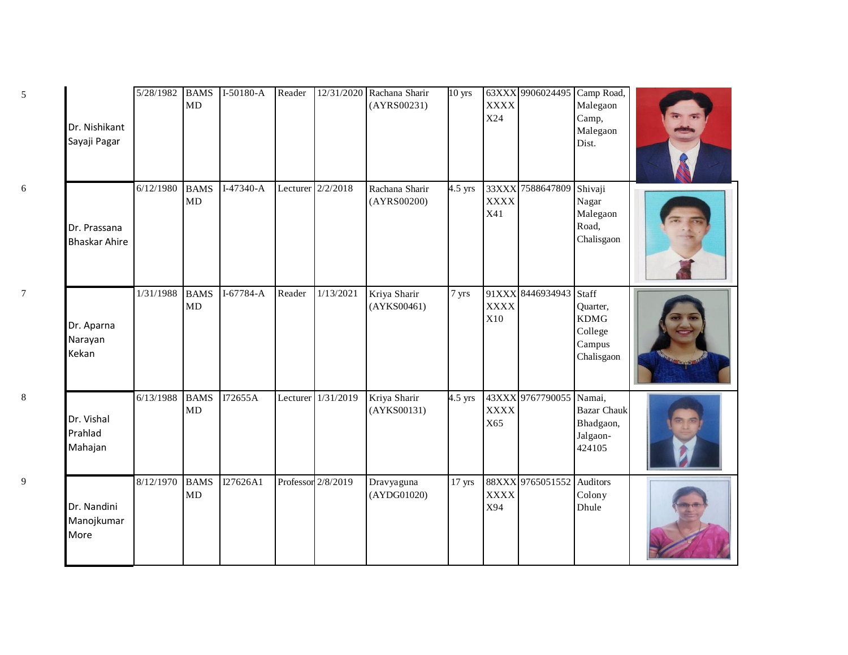| Dr. Nishikant<br>Sayaji Pagar        | 5/28/1982 | <b>BAMS</b><br>MD | $I-50180-A$ | Reader |                    | 12/31/2020 Rachana Sharir<br>(AYRS00231) | $10 \text{ yrs}$ | <b>XXXX</b><br>X24          | 63XXX 9906024495 Camp Road, | Malegaon<br>Camp,<br>Malegaon<br>Dist.                              |  |
|--------------------------------------|-----------|-------------------|-------------|--------|--------------------|------------------------------------------|------------------|-----------------------------|-----------------------------|---------------------------------------------------------------------|--|
| Dr. Prassana<br><b>Bhaskar Ahire</b> | 6/12/1980 | <b>BAMS</b><br>MD | I-47340-A   |        | Lecturer 2/2/2018  | Rachana Sharir<br>(AYRS00200)            | 4.5 yrs          | 33XXX<br><b>XXXX</b><br>X41 | 7588647809                  | Shivaji<br>Nagar<br>Malegaon<br>Road,<br>Chalisgaon                 |  |
| Dr. Aparna<br>Narayan<br>Kekan       | 1/31/1988 | <b>BAMS</b><br>MD | I-67784-A   | Reader | 1/13/2021          | Kriya Sharir<br>(AYKS00461)              | 7 yrs            | 91XXX<br><b>XXXX</b><br>X10 | 8446934943                  | Staff<br>Quarter,<br><b>KDMG</b><br>College<br>Campus<br>Chalisgaon |  |
| Dr. Vishal<br>Prahlad<br>Mahajan     | 6/13/1988 | <b>BAMS</b><br>MD | I72655A     |        | Lecturer 1/31/2019 | Kriya Sharir<br>(AYKS00131)              | $4.5$ yrs        | <b>XXXX</b><br>X65          | 43XXX 9767790055 Namai,     | <b>Bazar Chauk</b><br>Bhadgaon,<br>Jalgaon-<br>424105               |  |
| Dr. Nandini<br>Manojkumar<br>More    | 8/12/1970 | <b>BAMS</b><br>MD | I27626A1    |        | Professor 2/8/2019 | Dravyaguna<br>(AYDG01020)                | $17$ yrs         | <b>XXXX</b><br>X94          | 88XXX 9765051552 Auditors   | Colony<br>Dhule                                                     |  |

6

7

8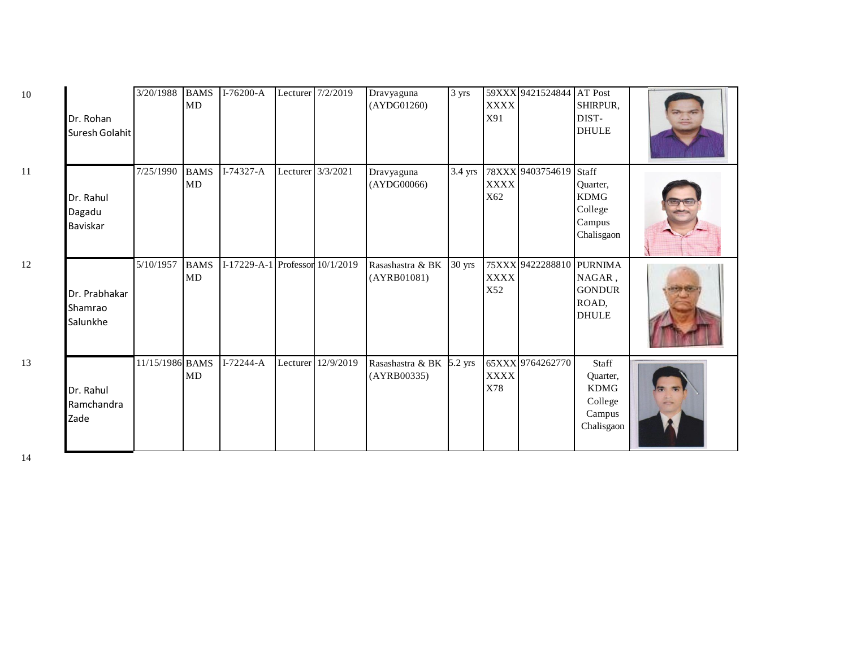| 10 | Dr. Rohan<br>Suresh Golahit          | 3/20/1988       | <b>BAMS</b><br>MD | $I-76200-A$                     |                   | Lecturer 7/2/2019  | Dravyaguna<br>(AYDG01260)               | 3 yrs   | <b>XXXX</b><br>X91 | 59XXX 9421524844 AT Post | SHIRPUR,<br>DIST-<br><b>DHULE</b>                                   |  |
|----|--------------------------------------|-----------------|-------------------|---------------------------------|-------------------|--------------------|-----------------------------------------|---------|--------------------|--------------------------|---------------------------------------------------------------------|--|
| 11 | Dr. Rahul<br>Dagadu<br>Baviskar      | 7/25/1990       | <b>BAMS</b><br>MD | $I-74327 - A$                   | Lecturer 3/3/2021 |                    | Dravyaguna<br>(AYDG00066)               | 3.4 yrs | <b>XXXX</b><br>X62 | 78XXX 9403754619         | Staff<br>Quarter,<br><b>KDMG</b><br>College<br>Campus<br>Chalisgaon |  |
| 12 | Dr. Prabhakar<br>Shamrao<br>Salunkhe | 5/10/1957       | <b>BAMS</b><br>MD | I-17229-A-1 Professor 10/1/2019 |                   |                    | Rasashastra & BK<br>(AYRB01081)         | 30 yrs  | XXXX<br>X52        | 75XXX 9422288810         | <b>PURNIMA</b><br>NAGAR,<br><b>GONDUR</b><br>ROAD,<br><b>DHULE</b>  |  |
| 13 | Dr. Rahul<br>Ramchandra<br>Zade      | 11/15/1986 BAMS | MD                | $I-72244-A$                     |                   | Lecturer 12/9/2019 | Rasashastra & BK 5.2 yrs<br>(AYRB00335) |         | XXXX<br>X78        | 65XXX 9764262770         | Staff<br>Quarter,<br><b>KDMG</b><br>College<br>Campus<br>Chalisgaon |  |

12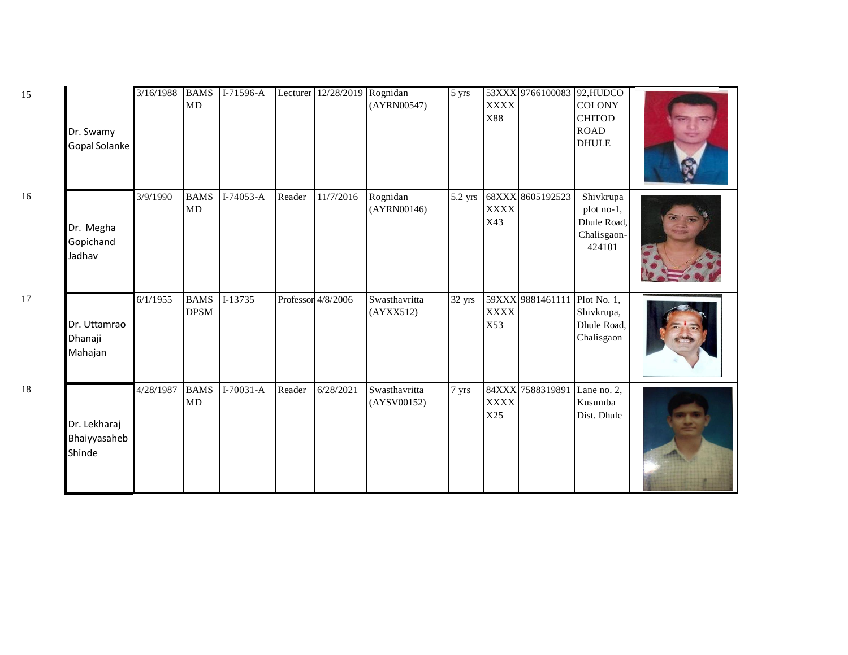| Dr. Swamy<br>Gopal Solanke             | 3/16/1988 | <b>BAMS</b><br>MD          | I-71596-A   |        | Lecturer 12/28/2019 Rognidan | (AYRN00547)                  | 5 yrs   | <b>XXXX</b><br>X88 | 53XXX 9766100083 92, HUDCO   | <b>COLONY</b><br><b>CHITOD</b><br><b>ROAD</b><br><b>DHULE</b>   |  |
|----------------------------------------|-----------|----------------------------|-------------|--------|------------------------------|------------------------------|---------|--------------------|------------------------------|-----------------------------------------------------------------|--|
| Dr. Megha<br>Gopichand<br>Jadhav       | 3/9/1990  | <b>BAMS</b><br>MD          | $I-74053-A$ | Reader | 11/7/2016                    | Rognidan<br>(AYRN00146)      | 5.2 yrs | <b>XXXX</b><br>X43 | 68XXX 8605192523             | Shivkrupa<br>plot no-1,<br>Dhule Road,<br>Chalisgaon-<br>424101 |  |
| Dr. Uttamrao<br>Dhanaji<br>Mahajan     | 6/1/1955  | <b>BAMS</b><br><b>DPSM</b> | I-13735     |        | Professor 4/8/2006           | Swasthavritta<br>(AYXX512)   | 32 yrs  | <b>XXXX</b><br>X53 | 59XXX 9881461111             | Plot No. 1,<br>Shivkrupa,<br>Dhule Road,<br>Chalisgaon          |  |
| Dr. Lekharaj<br>Bhaiyyasaheb<br>Shinde | 4/28/1987 | <b>BAMS</b><br>MD          | $I-70031-A$ | Reader | 6/28/2021                    | Swasthavritta<br>(AYSV00152) | 7 yrs   | <b>XXXX</b><br>X25 | 84XXX 7588319891 Lane no. 2, | Kusumba<br>Dist. Dhule                                          |  |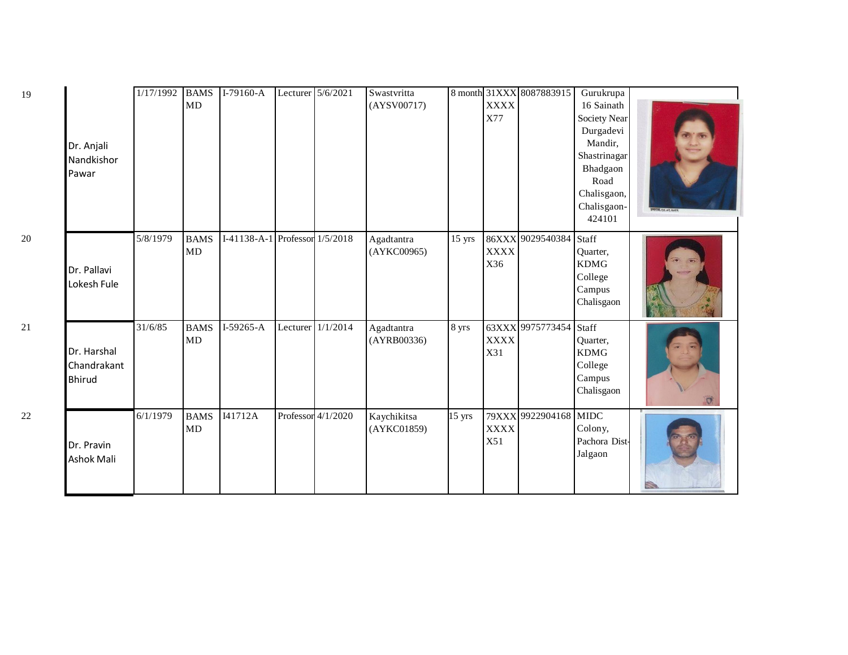| Dr. Anjali<br>Nandkishor<br>Pawar           | $\frac{1}{177}$ 1992 | <b>BAMS</b><br>MD | $I-79160-A$                    | Lecturer 5/6/2021  | Swastvritta<br>(AYSV00717) |                  | <b>XXXX</b><br>X77 | 8 month 31XXX 8087883915 | Gurukrupa<br>16 Sainath<br>Society Near<br>Durgadevi<br>Mandir,<br>Shastrinagar<br>Bhadgaon<br>Road<br>Chalisgaon,<br>Chalisgaon-<br>424101 | 19.18.01.201 |
|---------------------------------------------|----------------------|-------------------|--------------------------------|--------------------|----------------------------|------------------|--------------------|--------------------------|---------------------------------------------------------------------------------------------------------------------------------------------|--------------|
| Dr. Pallavi<br>Lokesh Fule                  | 5/8/1979             | <b>BAMS</b><br>MD | I-41138-A-1 Professor 1/5/2018 |                    | Agadtantra<br>(AYKC00965)  | $15$ yrs         | <b>XXXX</b><br>X36 | 86XXX 9029540384 Staff   | Quarter,<br><b>KDMG</b><br>College<br>Campus<br>Chalisgaon                                                                                  |              |
| Dr. Harshal<br>Chandrakant<br><b>Bhirud</b> | 31/6/85              | <b>BAMS</b><br>MD | $I-59265-A$                    | Lecturer 1/1/2014  | Agadtantra<br>(AYRB00336)  | 8 yrs            | <b>XXXX</b><br>X31 | 63XXX 9975773454 Staff   | Quarter,<br><b>KDMG</b><br>College<br>Campus<br>Chalisgaon                                                                                  | $\sigma$     |
| Dr. Pravin<br><b>Ashok Mali</b>             | 6/1/1979             | <b>BAMS</b><br>MD | I41712A                        | Professor 4/1/2020 | Kaychikitsa<br>(AYKC01859) | $15 \text{ yrs}$ | <b>XXXX</b><br>X51 | 79XXX 9922904168 MIDC    | Colony,<br>Pachora Dist-<br>Jalgaon                                                                                                         |              |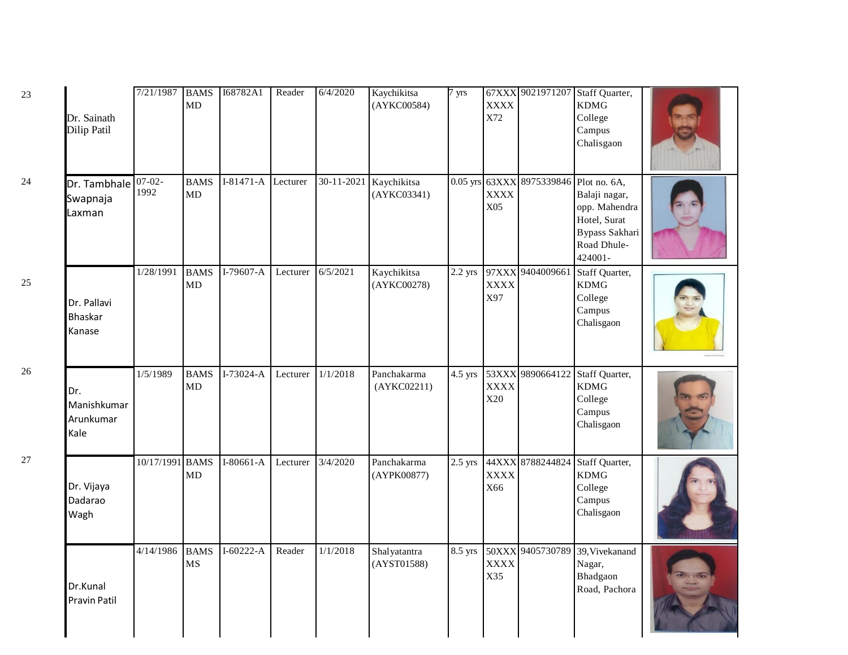| 23 | Dr. Sainath<br>Dilip Patil                   | 7/21/1987 BAMS  | MD                | I68782A1           | Reader   | 6/4/2020   | Kaychikitsa<br>(AYKC00584)  | 7 yrs     | <b>XXXX</b><br>X72          |                           | 67XXX 9021971207 Staff Quarter,<br><b>KDMG</b><br>College<br>Campus<br>Chalisgaon                          |  |
|----|----------------------------------------------|-----------------|-------------------|--------------------|----------|------------|-----------------------------|-----------|-----------------------------|---------------------------|------------------------------------------------------------------------------------------------------------|--|
| 24 | Dr. Tambhale $ 07-02-$<br>Swapnaja<br>Laxman | 1992            | <b>BAMS</b><br>MD | I-81471-A Lecturer |          | 30-11-2021 | Kaychikitsa<br>(AYKC03341)  |           | <b>XXXX</b><br>X05          | 0.05 yrs 63XXX 8975339846 | Plot no. 6A,<br>Balaji nagar,<br>opp. Mahendra<br>Hotel, Surat<br>Bypass Sakhari<br>Road Dhule-<br>424001- |  |
| 25 | Dr. Pallavi<br><b>Bhaskar</b><br>Kanase      | 1/28/1991       | <b>BAMS</b><br>MD | $I-79607-A$        | Lecturer | 6/5/2021   | Kaychikitsa<br>(AYKC00278)  | $2.2$ yrs | 97XXX<br><b>XXXX</b><br>X97 | 9404009661                | Staff Quarter,<br><b>KDMG</b><br>College<br>Campus<br>Chalisgaon                                           |  |
| 26 | Dr.<br>Manishkumar<br>Arunkumar<br>Kale      | 1/5/1989        | <b>BAMS</b><br>MD | $I-73024-A$        | Lecturer | 1/1/2018   | Panchakarma<br>(AYKCO2211)  | 4.5 yrs   | <b>XXXX</b><br>X20          | 53XXX 9890664122          | Staff Quarter,<br><b>KDMG</b><br>College<br>Campus<br>Chalisgaon                                           |  |
| 27 | Dr. Vijaya<br>Dadarao<br>Wagh                | 10/17/1991 BAMS | MD                | $I-80661-A$        | Lecturer | 3/4/2020   | Panchakarma<br>(AYPK00877)  | $2.5$ yrs | <b>XXXX</b><br>X66          |                           | 44XXX 8788244824 Staff Quarter,<br><b>KDMG</b><br>College<br>Campus<br>Chalisgaon                          |  |
|    | Dr.Kunal<br><b>Pravin Patil</b>              | 4/14/1986       | <b>BAMS</b><br>MS | $I-60222-A$        | Reader   | 1/1/2018   | Shalyatantra<br>(AYST01588) |           | <b>XXXX</b><br>X35          | 8.5 yrs 50XXX 9405730789  | 39, Vivekanand<br>Nagar,<br>Bhadgaon<br>Road, Pachora                                                      |  |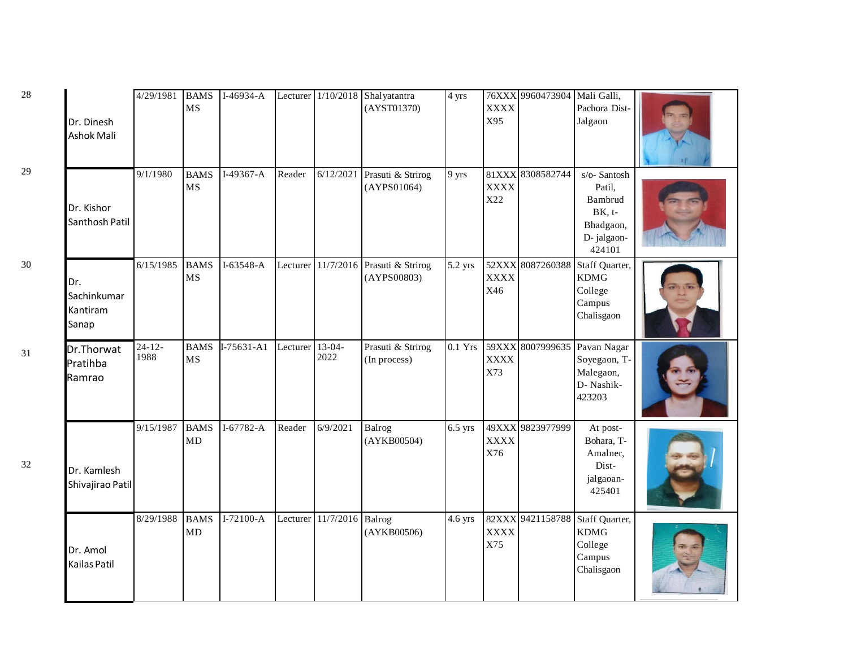| 28     | Dr. Dinesh<br>Ashok Mali                | 4/29/1981         | <b>BAMS</b><br><b>MS</b> | $I-46934-A$  |          |                    | Lecturer 1/10/2018 Shalyatantra<br>(AYST01370) | 4 yrs     | <b>XXXX</b><br>X95          | 76XXX 9960473904 | Mali Galli,<br>Pachora Dist-<br>Jalgaon                                           |  |
|--------|-----------------------------------------|-------------------|--------------------------|--------------|----------|--------------------|------------------------------------------------|-----------|-----------------------------|------------------|-----------------------------------------------------------------------------------|--|
| 29     | Dr. Kishor<br>Santhosh Patil            | 9/1/1980          | <b>BAMS</b><br><b>MS</b> | I-49367-A    | Reader   | 6/12/2021          | Prasuti & Strirog<br>(AYPS01064)               | 9 yrs     | <b>XXXX</b><br>X22          | 81XXX 8308582744 | s/o-Santosh<br>Patil,<br>Bambrud<br>$BK, t-$<br>Bhadgaon,<br>D-jalgaon-<br>424101 |  |
| $30\,$ | Dr.<br>Sachinkumar<br>Kantiram<br>Sanap | 6/15/1985         | <b>BAMS</b><br><b>MS</b> | I-63548-A    | Lecturer |                    | 11/7/2016 Prasuti & Strirog<br>(AYPS00803)     | 5.2 yrs   | 52XXX<br><b>XXXX</b><br>X46 | 8087260388       | Staff Quarter,<br><b>KDMG</b><br>College<br>Campus<br>Chalisgaon                  |  |
| 31     | Dr.Thorwat<br>Pratihba<br>Ramrao        | $24 - 12$<br>1988 | <b>BAMS</b><br><b>MS</b> | $I-75631-A1$ | Lecturer | $13-04-$<br>2022   | Prasuti & Strirog<br>(In process)              | $0.1$ Yrs | <b>XXXX</b><br>X73          |                  | 59XXX 8007999635 Pavan Nagar<br>Soyegaon, T-<br>Malegaon,<br>D- Nashik-<br>423203 |  |
| 32     | Dr. Kamlesh<br>Shivajirao Patil         | 9/15/1987         | <b>BAMS</b><br>MD        | $I-67782-A$  | Reader   | 6/9/2021           | Balrog<br>(AYKB00504)                          | $6.5$ yrs | <b>XXXX</b><br>X76          | 49XXX 9823977999 | At post-<br>Bohara, T-<br>Amalner,<br>Dist-<br>jalgaoan-<br>425401                |  |
|        | Dr. Amol<br>Kailas Patil                | 8/29/1988         | <b>BAMS</b><br>MD        | $I-72100-A$  |          | Lecturer 11/7/2016 | Balrog<br>(AYKB00506)                          | 4.6 yrs   | <b>XXXX</b><br>X75          |                  | 82XXX 9421158788 Staff Quarter,<br><b>KDMG</b><br>College<br>Campus<br>Chalisgaon |  |